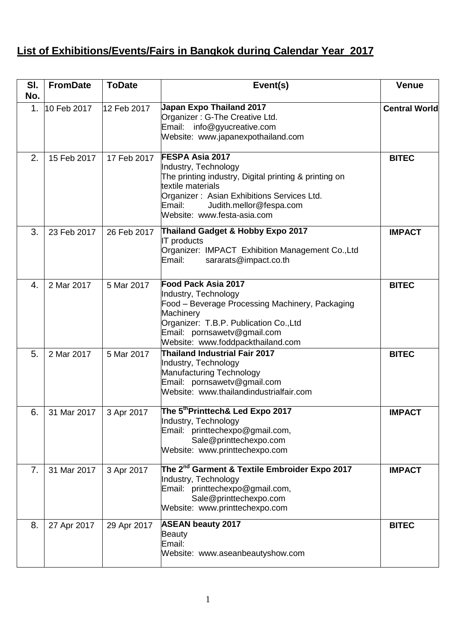## **List of Exhibitions/Events/Fairs in Bangkok during Calendar Year 2017**

| SI.<br>No.     | <b>FromDate</b> | <b>ToDate</b> | Event(s)                                                                                                                                                                                                                                | <b>Venue</b>         |
|----------------|-----------------|---------------|-----------------------------------------------------------------------------------------------------------------------------------------------------------------------------------------------------------------------------------------|----------------------|
| 1.             | 10 Feb 2017     | 12 Feb 2017   | Japan Expo Thailand 2017<br>Organizer: G-The Creative Ltd.<br>Email: info@gyucreative.com<br>Website: www.japanexpothailand.com                                                                                                         | <b>Central World</b> |
| 2.             | 15 Feb 2017     | 17 Feb 2017   | FESPA Asia 2017<br>Industry, Technology<br>The printing industry, Digital printing & printing on<br>textile materials<br>Organizer: Asian Exhibitions Services Ltd.<br>Email:<br>Judith.mellor@fespa.com<br>Website: www.festa-asia.com | <b>BITEC</b>         |
| 3.             | 23 Feb 2017     | 26 Feb 2017   | Thailand Gadget & Hobby Expo 2017<br><b>IT</b> products<br>Organizer: IMPACT Exhibition Management Co., Ltd<br>Email:<br>sararats@impact.co.th                                                                                          | <b>IMPACT</b>        |
| 4.             | 2 Mar 2017      | 5 Mar 2017    | Food Pack Asia 2017<br>Industry, Technology<br>Food - Beverage Processing Machinery, Packaging<br>Machinery<br>Organizer: T.B.P. Publication Co., Ltd<br>Email: pornsawetv@gmail.com<br>Website: www.foddpackthailand.com               | <b>BITEC</b>         |
| 5.             | 2 Mar 2017      | 5 Mar 2017    | <b>Thailand Industrial Fair 2017</b><br>Industry, Technology<br>Manufacturing Technology<br>Email: pornsawetv@gmail.com<br>Website: www.thailandindustrialfair.com                                                                      | <b>BITEC</b>         |
| 6.             | 31 Mar 2017     | 3 Apr 2017    | The 5 <sup>th</sup> Printtech& Led Expo 2017<br>Industry, Technology<br>Email: printtechexpo@gmail.com,<br>Sale@printtechexpo.com<br>Website: www.printtechexpo.com                                                                     | <b>IMPACT</b>        |
| 7 <sub>1</sub> | 31 Mar 2017     | 3 Apr 2017    | The 2 <sup>nd</sup> Garment & Textile Embroider Expo 2017<br>Industry, Technology<br>Email: printtechexpo@gmail.com,<br>Sale@printtechexpo.com<br>Website: www.printtechexpo.com                                                        | <b>IMPACT</b>        |
| 8.             | 27 Apr 2017     | 29 Apr 2017   | <b>ASEAN beauty 2017</b><br><b>Beauty</b><br>Email:<br>Website: www.aseanbeautyshow.com                                                                                                                                                 | <b>BITEC</b>         |